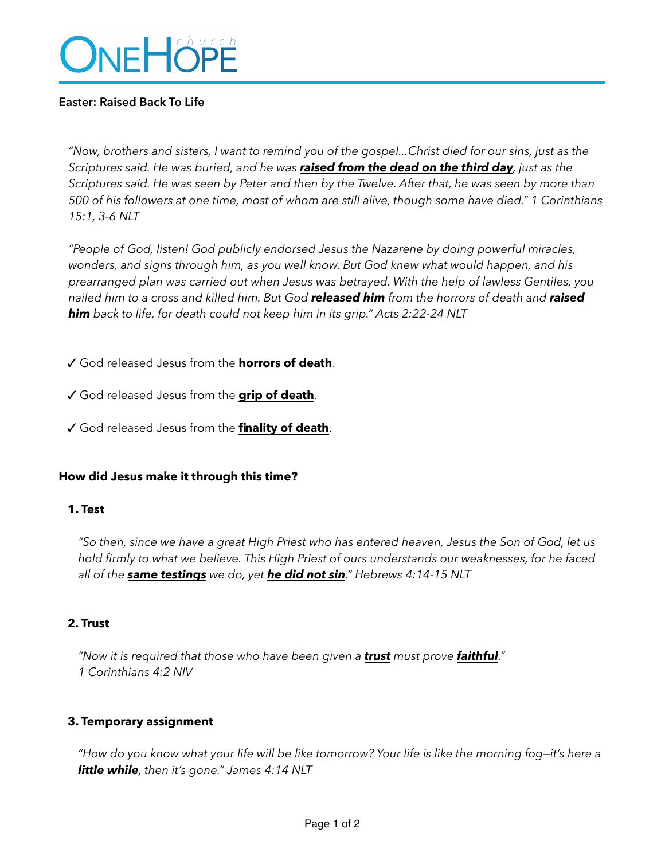# ONEHÖPE

# **Easter: Raised Back To Life**

*"Now, brothers and sisters, I want to remind you of the gospel...Christ died for our sins, just as the Scriptures said. He was buried, and he was raised from the dead on the third day, just as the Scriptures said. He was seen by Peter and then by the Twelve. After that, he was seen by more than 500 of his followers at one time, most of whom are still alive, though some have died." 1 Corinthians 15:1, 3-6 NLT* 

*"People of God, listen! God publicly endorsed Jesus the Nazarene by doing powerful miracles, wonders, and signs through him, as you well know. But God knew what would happen, and his prearranged plan was carried out when Jesus was betrayed. With the help of lawless Gentiles, you nailed him to a cross and killed him. But God released him from the horrors of death and raised him back to life, for death could not keep him in its grip." Acts 2:22-24 NLT* 

✓ God released Jesus from the **horrors of death**.

- ✓ God released Jesus from the **grip of death**.
- ✓ God released Jesus from the **finality of death**.

# **How did Jesus make it through this time?**

#### **1. Test**

*"So then, since we have a great High Priest who has entered heaven, Jesus the Son of God, let us hold firmly to what we believe. This High Priest of ours understands our weaknesses, for he faced all of the same testings we do, yet he did not sin." Hebrews 4:14-15 NLT* 

#### **2. Trust**

*"Now it is required that those who have been given a trust must prove faithful." 1 Corinthians 4:2 NIV* 

#### **3. Temporary assignment**

*"How do you know what your life will be like tomorrow? Your life is like the morning fog—it's here a little while, then it's gone." James 4:14 NLT*